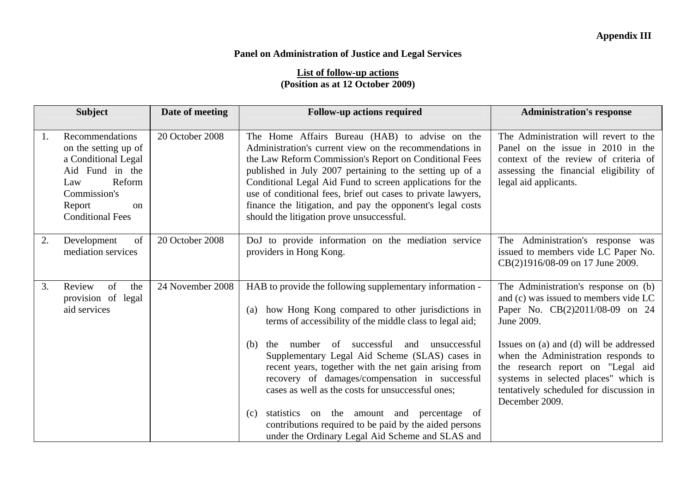## **Panel on Administration of Justice and Legal Services**

## **List of follow-up actions (Position as at 12 October 2009)**

|    | <b>Subject</b>                                                                                                                                                | Date of meeting  | <b>Follow-up actions required</b>                                                                                                                                                                                                                                                                                                                                                                                                                                       | <b>Administration's response</b>                                                                                                                                                                                         |
|----|---------------------------------------------------------------------------------------------------------------------------------------------------------------|------------------|-------------------------------------------------------------------------------------------------------------------------------------------------------------------------------------------------------------------------------------------------------------------------------------------------------------------------------------------------------------------------------------------------------------------------------------------------------------------------|--------------------------------------------------------------------------------------------------------------------------------------------------------------------------------------------------------------------------|
| 1. | Recommendations<br>on the setting up of<br>a Conditional Legal<br>Aid Fund in the<br>Reform<br>Law<br>Commission's<br>Report<br>on<br><b>Conditional Fees</b> | 20 October 2008  | The Home Affairs Bureau (HAB) to advise on the<br>Administration's current view on the recommendations in<br>the Law Reform Commission's Report on Conditional Fees<br>published in July 2007 pertaining to the setting up of a<br>Conditional Legal Aid Fund to screen applications for the<br>use of conditional fees, brief out cases to private lawyers,<br>finance the litigation, and pay the opponent's legal costs<br>should the litigation prove unsuccessful. | The Administration will revert to the<br>Panel on the issue in 2010 in the<br>context of the review of criteria of<br>assessing the financial eligibility of<br>legal aid applicants.                                    |
| 2. | of<br>Development<br>mediation services                                                                                                                       | 20 October 2008  | DoJ to provide information on the mediation service<br>providers in Hong Kong.                                                                                                                                                                                                                                                                                                                                                                                          | The Administration's response was<br>issued to members vide LC Paper No.<br>CB(2)1916/08-09 on 17 June 2009.                                                                                                             |
| 3. | of<br>Review<br>the<br>provision of legal<br>aid services                                                                                                     | 24 November 2008 | HAB to provide the following supplementary information -<br>how Hong Kong compared to other jurisdictions in<br>(a)<br>terms of accessibility of the middle class to legal aid;                                                                                                                                                                                                                                                                                         | The Administration's response on (b)<br>and (c) was issued to members vide LC<br>Paper No. CB(2)2011/08-09 on 24<br>June 2009.                                                                                           |
|    |                                                                                                                                                               |                  | number of successful<br>and unsuccessful<br>(b)<br>the<br>Supplementary Legal Aid Scheme (SLAS) cases in<br>recent years, together with the net gain arising from<br>recovery of damages/compensation in successful<br>cases as well as the costs for unsuccessful ones;                                                                                                                                                                                                | Issues on (a) and (d) will be addressed<br>when the Administration responds to<br>the research report on "Legal aid<br>systems in selected places" which is<br>tentatively scheduled for discussion in<br>December 2009. |
|    |                                                                                                                                                               |                  | statistics on the amount and percentage of<br>(c)<br>contributions required to be paid by the aided persons<br>under the Ordinary Legal Aid Scheme and SLAS and                                                                                                                                                                                                                                                                                                         |                                                                                                                                                                                                                          |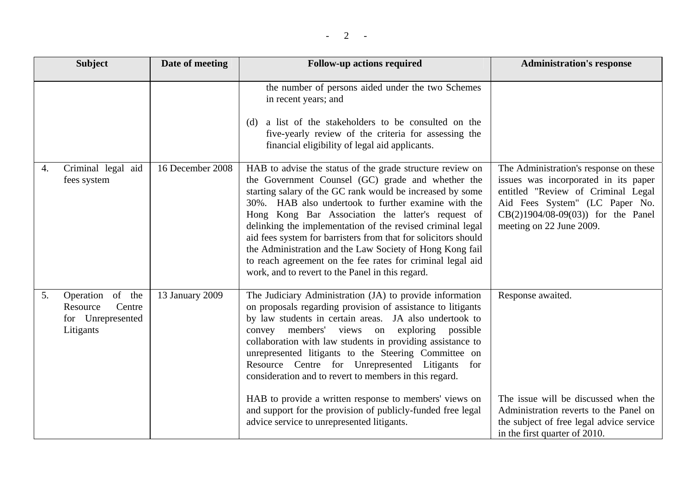|    | <b>Subject</b>                                                           | Date of meeting  | <b>Follow-up actions required</b>                                                                                                                                                                                                                                                                                                                                                                                                                                                                                                                                                                                                             | <b>Administration's response</b>                                                                                                                                                                                          |
|----|--------------------------------------------------------------------------|------------------|-----------------------------------------------------------------------------------------------------------------------------------------------------------------------------------------------------------------------------------------------------------------------------------------------------------------------------------------------------------------------------------------------------------------------------------------------------------------------------------------------------------------------------------------------------------------------------------------------------------------------------------------------|---------------------------------------------------------------------------------------------------------------------------------------------------------------------------------------------------------------------------|
|    |                                                                          |                  | the number of persons aided under the two Schemes<br>in recent years; and<br>a list of the stakeholders to be consulted on the<br>(d)<br>five-yearly review of the criteria for assessing the<br>financial eligibility of legal aid applicants.                                                                                                                                                                                                                                                                                                                                                                                               |                                                                                                                                                                                                                           |
| 4. | Criminal legal aid<br>fees system                                        | 16 December 2008 | HAB to advise the status of the grade structure review on<br>the Government Counsel (GC) grade and whether the<br>starting salary of the GC rank would be increased by some<br>30%. HAB also undertook to further examine with the<br>Hong Kong Bar Association the latter's request of<br>delinking the implementation of the revised criminal legal<br>aid fees system for barristers from that for solicitors should<br>the Administration and the Law Society of Hong Kong fail<br>to reach agreement on the fee rates for criminal legal aid<br>work, and to revert to the Panel in this regard.                                         | The Administration's response on these<br>issues was incorporated in its paper<br>entitled "Review of Criminal Legal<br>Aid Fees System" (LC Paper No.<br>$CB(2)1904/08-09(03)$ for the Panel<br>meeting on 22 June 2009. |
| 5. | Operation of the<br>Centre<br>Resource<br>for Unrepresented<br>Litigants | 13 January 2009  | The Judiciary Administration (JA) to provide information<br>on proposals regarding provision of assistance to litigants<br>by law students in certain areas. JA also undertook to<br>members' views on exploring possible<br>convey<br>collaboration with law students in providing assistance to<br>unrepresented litigants to the Steering Committee on<br>Resource Centre for Unrepresented Litigants for<br>consideration and to revert to members in this regard.<br>HAB to provide a written response to members' views on<br>and support for the provision of publicly-funded free legal<br>advice service to unrepresented litigants. | Response awaited.<br>The issue will be discussed when the<br>Administration reverts to the Panel on<br>the subject of free legal advice service<br>in the first quarter of 2010.                                          |